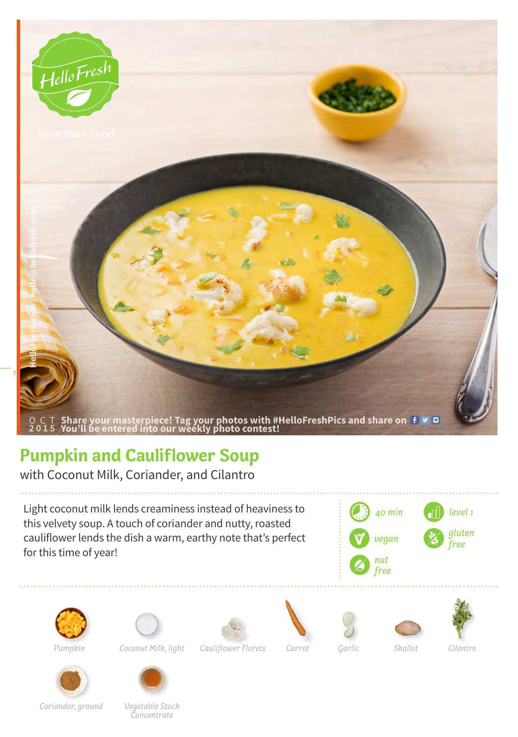

## **Pumpkin and Cauliflower Soup**

with Coconut Milk, Coriander, and Cilantro

Light coconut milk lends creaminess instead of heaviness to this velvety soup. A touch of coriander and nutty, roasted cauliflower lends the dish a warm, earthy note that's perfect for this time of year!









*Coconut Milk, light Cauliflower Florets Garlic Shallot Pumpkin Carrot*









*Cilantro*



*Coriander, ground Vegetable Stock Concentrate*